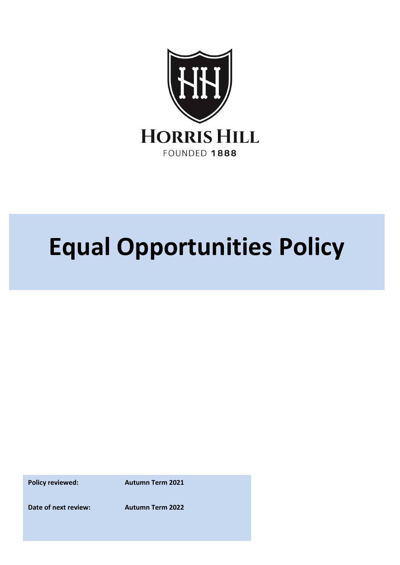

# **Equal Opportunities Policy**

**Policy reviewed:** Autumn Term 2021

**Date of next review: Autumn Term 2022**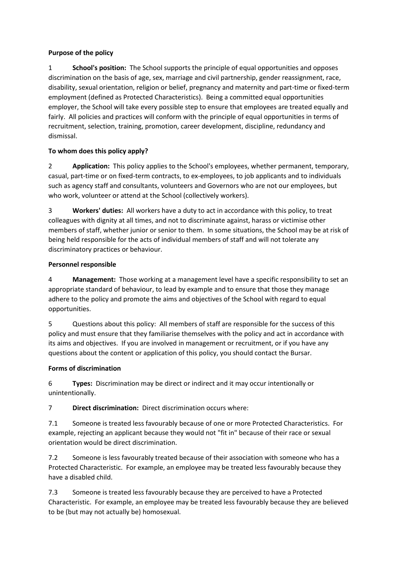## **Purpose of the policy**

1 **School's position:** The School supports the principle of equal opportunities and opposes discrimination on the basis of age, sex, marriage and civil partnership, gender reassignment, race, disability, sexual orientation, religion or belief, pregnancy and maternity and part-time or fixed-term employment (defined as Protected Characteristics). Being a committed equal opportunities employer, the School will take every possible step to ensure that employees are treated equally and fairly. All policies and practices will conform with the principle of equal opportunities in terms of recruitment, selection, training, promotion, career development, discipline, redundancy and dismissal.

# **To whom does this policy apply?**

2 **Application:** This policy applies to the School's employees, whether permanent, temporary, casual, part-time or on fixed-term contracts, to ex-employees, to job applicants and to individuals such as agency staff and consultants, volunteers and Governors who are not our employees, but who work, volunteer or attend at the School (collectively workers).

3 **Workers' duties:** All workers have a duty to act in accordance with this policy, to treat colleagues with dignity at all times, and not to discriminate against, harass or victimise other members of staff, whether junior or senior to them. In some situations, the School may be at risk of being held responsible for the acts of individual members of staff and will not tolerate any discriminatory practices or behaviour.

#### **Personnel responsible**

4 **Management:** Those working at a management level have a specific responsibility to set an appropriate standard of behaviour, to lead by example and to ensure that those they manage adhere to the policy and promote the aims and objectives of the School with regard to equal opportunities.

5 Questions about this policy: All members of staff are responsible for the success of this policy and must ensure that they familiarise themselves with the policy and act in accordance with its aims and objectives. If you are involved in management or recruitment, or if you have any questions about the content or application of this policy, you should contact the Bursar.

#### **Forms of discrimination**

6 **Types:** Discrimination may be direct or indirect and it may occur intentionally or unintentionally.

7 **Direct discrimination:** Direct discrimination occurs where:

7.1 Someone is treated less favourably because of one or more Protected Characteristics. For example, rejecting an applicant because they would not "fit in" because of their race or sexual orientation would be direct discrimination.

7.2 Someone is less favourably treated because of their association with someone who has a Protected Characteristic. For example, an employee may be treated less favourably because they have a disabled child.

7.3 Someone is treated less favourably because they are perceived to have a Protected Characteristic. For example, an employee may be treated less favourably because they are believed to be (but may not actually be) homosexual.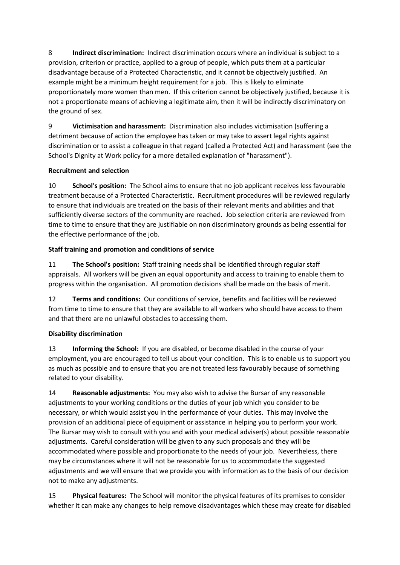8 **Indirect discrimination:** Indirect discrimination occurs where an individual is subject to a provision, criterion or practice, applied to a group of people, which puts them at a particular disadvantage because of a Protected Characteristic, and it cannot be objectively justified. An example might be a minimum height requirement for a job. This is likely to eliminate proportionately more women than men. If this criterion cannot be objectively justified, because it is not a proportionate means of achieving a legitimate aim, then it will be indirectly discriminatory on the ground of sex.

9 **Victimisation and harassment:** Discrimination also includes victimisation (suffering a detriment because of action the employee has taken or may take to assert legal rights against discrimination or to assist a colleague in that regard (called a Protected Act) and harassment (see the School's Dignity at Work policy for a more detailed explanation of "harassment").

# **Recruitment and selection**

10 **School's position:** The School aims to ensure that no job applicant receives less favourable treatment because of a Protected Characteristic. Recruitment procedures will be reviewed regularly to ensure that individuals are treated on the basis of their relevant merits and abilities and that sufficiently diverse sectors of the community are reached. Job selection criteria are reviewed from time to time to ensure that they are justifiable on non discriminatory grounds as being essential for the effective performance of the job.

## **Staff training and promotion and conditions of service**

11 **The School's position:** Staff training needs shall be identified through regular staff appraisals. All workers will be given an equal opportunity and access to training to enable them to progress within the organisation. All promotion decisions shall be made on the basis of merit.

12 **Terms and conditions:** Our conditions of service, benefits and facilities will be reviewed from time to time to ensure that they are available to all workers who should have access to them and that there are no unlawful obstacles to accessing them.

# **Disability discrimination**

13 **Informing the School:** If you are disabled, or become disabled in the course of your employment, you are encouraged to tell us about your condition. This is to enable us to support you as much as possible and to ensure that you are not treated less favourably because of something related to your disability.

14 **Reasonable adjustments:** You may also wish to advise the Bursar of any reasonable adjustments to your working conditions or the duties of your job which you consider to be necessary, or which would assist you in the performance of your duties. This may involve the provision of an additional piece of equipment or assistance in helping you to perform your work. The Bursar may wish to consult with you and with your medical adviser(s) about possible reasonable adjustments. Careful consideration will be given to any such proposals and they will be accommodated where possible and proportionate to the needs of your job. Nevertheless, there may be circumstances where it will not be reasonable for us to accommodate the suggested adjustments and we will ensure that we provide you with information as to the basis of our decision not to make any adjustments.

15 **Physical features:** The School will monitor the physical features of its premises to consider whether it can make any changes to help remove disadvantages which these may create for disabled